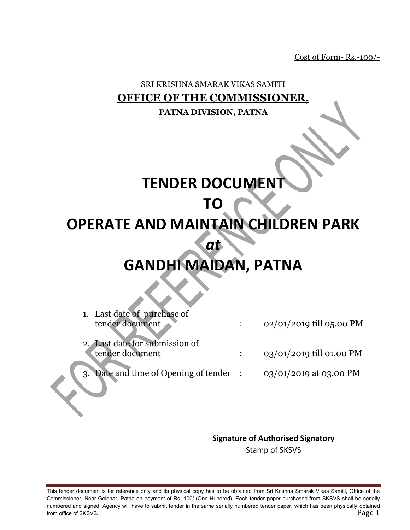Cost of Form- Rs.-100/-

## SRI KRISHNA SMARAK VIKAS SAMITI **OFFICE OF THE COMMISSIONER, PATNA DIVISION, PATNA**

## **TENDER DOCUMENT**

## **TO**

## **OPERATE AND MAINTAIN CHILDREN PARK**

*at* 

# **GANDHI MAIDAN, PATNA**

| $02/01/2019$ till 05.00 PM              |
|-----------------------------------------|
|                                         |
|                                         |
| 03/01/2019 till 01.00 PM                |
|                                         |
| $03/01/2019$ at 03.00 PM                |
|                                         |
| 3. Date and time of Opening of tender : |

#### **Signature of Authorised Signatory**

Stamp of SKSVS

This tender document is for reference only and its physical copy has to be obtained from Sri Krishna Smarak Vikas Samiti, Office of the Commissioner, Near Golghar, Patna on payment of Rs. 100/-(One Hundred). Each tender paper purchased from SKSVS shall be serially numbered and signed. Agency will have to submit tender in the same serially numbered tender paper, which has been physically obtained from office of SKSVS. Page 1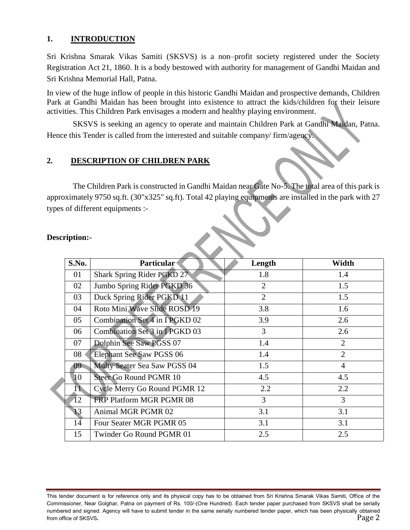#### **1. INTRODUCTION**

Sri Krishna Smarak Vikas Samiti (SKSVS) is a non–profit society registered under the Society Registration Act 21, 1860. It is a body bestowed with authority for management of Gandhi Maidan and Sri Krishna Memorial Hall, Patna.

In view of the huge inflow of people in this historic Gandhi Maidan and prospective demands, Children Park at Gandhi Maidan has been brought into existence to attract the kids/children for their leisure activities. This Children Park envisages a modern and healthy playing environment.

SKSVS is seeking an agency to operate and maintain Children Park at Gandhi Maidan, Patna. Hence this Tender is called from the interested and suitable company/ firm/agency.

### **2. DESCRIPTION OF CHILDREN PARK**

The Children Park is constructed in Gandhi Maidan near Gate No-5. The total area of this park is approximately 9750 sq.ft. (30"x325" sq.ft). Total 42 playing equipments are installed in the park with 27 types of different equipments :-

| S.No.           | <b>Particular</b>               | Length         | Width          |  |
|-----------------|---------------------------------|----------------|----------------|--|
| 01              | Shark Spring Rider PGKD 27      | 1.8            | 1.4            |  |
| 02              | Jumbo Spring Rider PGKD 36      | $\overline{2}$ | 1.5            |  |
| 03              | Duck Spring Rider PGKD 11       | $\overline{2}$ | 1.5            |  |
| 04              | Roto Mini Wave Slide ROSD 19    | 3.8            | 1.6            |  |
| 05              | Combination Set 4 in IPGKD 02   | 3.9            | 2.6            |  |
| 06              | Combination Set 3 in IPGKD 03   | 3              | 2.6            |  |
| 07              | Dolphin See Saw PGSS 07         | 1.4            | $\overline{2}$ |  |
| 08              | <b>Elephant See Saw PGSS 06</b> | 1.4            | $\overline{2}$ |  |
| 09 <sup>°</sup> | Multy Seater Sea Saw PGSS 04    | 1.5            | $\overline{4}$ |  |
| 10              | <b>Steer Go Round PGMR 10</b>   | 4.5            | 4.5            |  |
| 11              | Cycle Merry Go Round PGMR 12    | 2.2            | 2.2            |  |
| 12              | <b>FRP Platform MGR PGMR 08</b> | 3              | 3              |  |
| 13              | Animal MGR PGMR 02              | 3.1            | 3.1            |  |
| 14 <sup>2</sup> | Four Seater MGR PGMR 05         | 3.1            | 3.1            |  |
| 15              | Twinder Go Round PGMR 01        | 2.5            | 2.5            |  |

#### **Description:-**

This tender document is for reference only and its physical copy has to be obtained from Sri Krishna Smarak Vikas Samiti, Office of the Commissioner, Near Golghar, Patna on payment of Rs. 100/-(One Hundred). Each tender paper purchased from SKSVS shall be serially numbered and signed. Agency will have to submit tender in the same serially numbered tender paper, which has been physically obtained from office of SKSVS. Page 2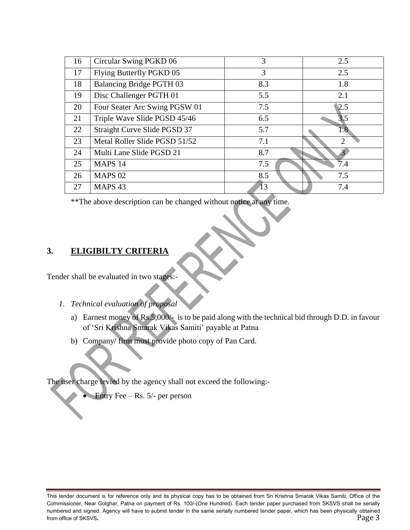| 16 | Circular Swing PGKD 06          | 3   | 2.5              |
|----|---------------------------------|-----|------------------|
| 17 | Flying Butterfly PGKD 05        | 3   | 2.5              |
| 18 | <b>Balancing Bridge PGTH 03</b> | 8.3 | 1.8              |
| 19 | Disc Challenger PGTH 01         | 5.5 | 2.1              |
| 20 | Four Seater Arc Swing PGSW 01   | 7.5 | 2.5              |
| 21 | Triple Wave Slide PGSD 45/46    | 6.5 | $\overline{3.5}$ |
| 22 | Straight Curve Slide PGSD 37    | 5.7 | 1.8              |
| 23 | Metal Roller Slide PGSD 51/52   | 7.1 | റ                |
| 24 | Multi Lane Slide PGSD 21        | 8.7 |                  |
| 25 | MAPS <sub>14</sub>              | 7.5 | 7.4              |
| 26 | <b>MAPS 02</b>                  | 8.5 | 7.5              |
| 27 | MAPS <sub>43</sub>              | 13  | 7.4              |

\*\*The above description can be changed without notice at any time.

## **3. ELIGIBILTY CRITERIA**

Tender shall be evaluated in two stages:-

- *1. Technical evaluation of proposal* 
	- a) Earnest money of Rs.5,000/- is to be paid along with the technical bid through D.D. in favour of 'Sri Krishna Smarak Vikas Samiti' payable at Patna
	- b) Company/ firm must provide photo copy of Pan Card.

The user charge levied by the agency shall not exceed the following:-

Entry Fee – Rs. 5/- per person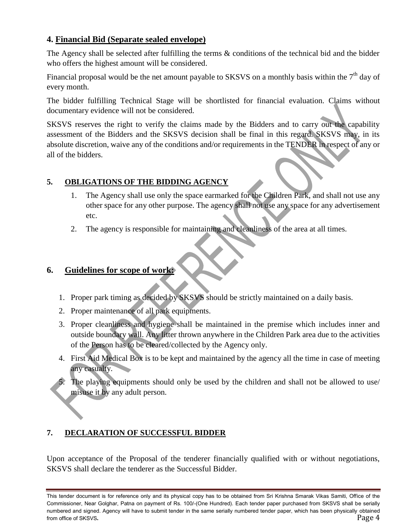## **4. Financial Bid (Separate sealed envelope)**

The Agency shall be selected after fulfilling the terms & conditions of the technical bid and the bidder who offers the highest amount will be considered.

Financial proposal would be the net amount payable to SKSVS on a monthly basis within the  $7<sup>th</sup>$  day of every month.

The bidder fulfilling Technical Stage will be shortlisted for financial evaluation. Claims without documentary evidence will not be considered.

SKSVS reserves the right to verify the claims made by the Bidders and to carry out the capability assessment of the Bidders and the SKSVS decision shall be final in this regard. SKSVS may, in its absolute discretion, waive any of the conditions and/or requirements in the TENDER in respect of any or all of the bidders.

## **5. OBLIGATIONS OF THE BIDDING AGENCY**

- 1. The Agency shall use only the space earmarked for the Children Park, and shall not use any other space for any other purpose. The agency shall not use any space for any advertisement etc.
- 2. The agency is responsible for maintaining and cleanliness of the area at all times.

## **6. Guidelines for scope of work:**

- 1. Proper park timing as decided by SKSVS should be strictly maintained on a daily basis.
- 2. Proper maintenance of all park equipments.
- 3. Proper cleanliness and hygiene shall be maintained in the premise which includes inner and outside boundary wall. Any litter thrown anywhere in the Children Park area due to the activities of the Person has to be cleared/collected by the Agency only.
- 4. First Aid Medical Box is to be kept and maintained by the agency all the time in case of meeting any casualty.
- 5. The playing equipments should only be used by the children and shall not be allowed to use/ misuse it by any adult person.

## **7. DECLARATION OF SUCCESSFUL BIDDER**

Upon acceptance of the Proposal of the tenderer financially qualified with or without negotiations, SKSVS shall declare the tenderer as the Successful Bidder.

This tender document is for reference only and its physical copy has to be obtained from Sri Krishna Smarak Vikas Samiti, Office of the Commissioner, Near Golghar, Patna on payment of Rs. 100/-(One Hundred). Each tender paper purchased from SKSVS shall be serially numbered and signed. Agency will have to submit tender in the same serially numbered tender paper, which has been physically obtained from office of SKSVS. Page 4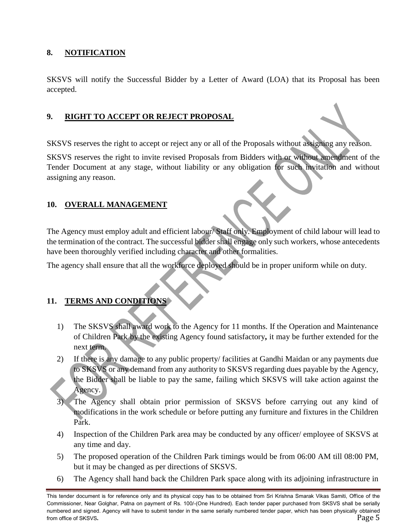#### **8. NOTIFICATION**

SKSVS will notify the Successful Bidder by a Letter of Award (LOA) that its Proposal has been accepted.

### **9. RIGHT TO ACCEPT OR REJECT PROPOSAL**

SKSVS reserves the right to accept or reject any or all of the Proposals without assigning any reason.

SKSVS reserves the right to invite revised Proposals from Bidders with or without amendment of the Tender Document at any stage, without liability or any obligation for such invitation and without assigning any reason.

### **10. OVERALL MANAGEMENT**

The Agency must employ adult and efficient labour/ Staff only. Employment of child labour will lead to the termination of the contract. The successful bidder shall engage only such workers, whose antecedents have been thoroughly verified including character and other formalities.

The agency shall ensure that all the workforce deployed should be in proper uniform while on duty.

## **11. TERMS AND CONDITIONS**

- 1) The SKSVS shall award work to the Agency for 11 months. If the Operation and Maintenance of Children Park by the existing Agency found satisfactory**,** it may be further extended for the next term.
- 2) If there is any damage to any public property/ facilities at Gandhi Maidan or any payments due to SKSVS or any demand from any authority to SKSVS regarding dues payable by the Agency, the Bidder shall be liable to pay the same, failing which SKSVS will take action against the Agency.
- The Agency shall obtain prior permission of SKSVS before carrying out any kind of modifications in the work schedule or before putting any furniture and fixtures in the Children Park.
- 4) Inspection of the Children Park area may be conducted by any officer/ employee of SKSVS at any time and day.
- 5) The proposed operation of the Children Park timings would be from 06:00 AM till 08:00 PM, but it may be changed as per directions of SKSVS.
- 6) The Agency shall hand back the Children Park space along with its adjoining infrastructure in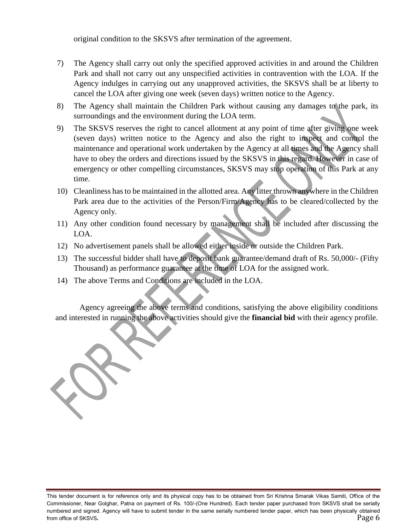original condition to the SKSVS after termination of the agreement.

- 7) The Agency shall carry out only the specified approved activities in and around the Children Park and shall not carry out any unspecified activities in contravention with the LOA. If the Agency indulges in carrying out any unapproved activities, the SKSVS shall be at liberty to cancel the LOA after giving one week (seven days) written notice to the Agency.
- 8) The Agency shall maintain the Children Park without causing any damages to the park, its surroundings and the environment during the LOA term.
- 9) The SKSVS reserves the right to cancel allotment at any point of time after giving one week (seven days) written notice to the Agency and also the right to inspect and control the maintenance and operational work undertaken by the Agency at all times and the Agency shall have to obey the orders and directions issued by the SKSVS in this regard. However in case of emergency or other compelling circumstances, SKSVS may stop operation of this Park at any time.
- 10) Cleanliness has to be maintained in the allotted area. Any litter thrown anywhere in the Children Park area due to the activities of the Person/Firm/Agency has to be cleared/collected by the Agency only.
- 11) Any other condition found necessary by management shall be included after discussing the LOA.
- 12) No advertisement panels shall be allowed either inside or outside the Children Park.
- 13) The successful bidder shall have to deposit bank guarantee/demand draft of Rs. 50,000/- (Fifty Thousand) as performance guarantee at the time of LOA for the assigned work.
- 14) The above Terms and Conditions are included in the LOA.

Agency agreeing the above terms and conditions, satisfying the above eligibility conditions and interested in running the above activities should give the **financial bid** with their agency profile.



This tender document is for reference only and its physical copy has to be obtained from Sri Krishna Smarak Vikas Samiti, Office of the Commissioner, Near Golghar, Patna on payment of Rs. 100/-(One Hundred). Each tender paper purchased from SKSVS shall be serially numbered and signed. Agency will have to submit tender in the same serially numbered tender paper, which has been physically obtained from office of SKSVS. Page 6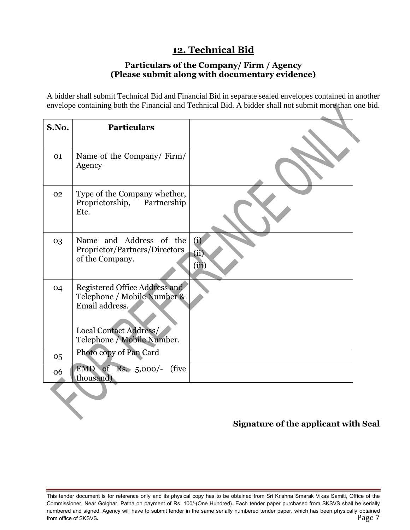## **12. Technical Bid**

### **Particulars of the Company/ Firm / Agency (Please submit along with documentary evidence)**

A bidder shall submit Technical Bid and Financial Bid in separate sealed envelopes contained in another envelope containing both the Financial and Technical Bid. A bidder shall not submit more than one bid.

| S.No. | <b>Particulars</b>                                                                                                                     |                      |
|-------|----------------------------------------------------------------------------------------------------------------------------------------|----------------------|
| 01    | Name of the Company/Firm/<br>Agency                                                                                                    |                      |
| 02    | Type of the Company whether,<br>Proprietorship, Partnership<br>Etc.                                                                    |                      |
| 03    | Name and Address of the<br>Proprietor/Partners/Directors<br>of the Company.                                                            | (i)<br>(ii)<br>(iii) |
| 04    | Registered Office Address and<br>Telephone / Mobile Number &<br>Email address.<br>Local Contact Address/<br>Telephone / Mobile Number. |                      |
| 05    | Photo copy of Pan Card                                                                                                                 |                      |
| 06    | EMD of<br>$Rs. 5,000/-$<br>(five)<br>thousand)                                                                                         |                      |
|       |                                                                                                                                        |                      |

## **Signature of the applicant with Seal**